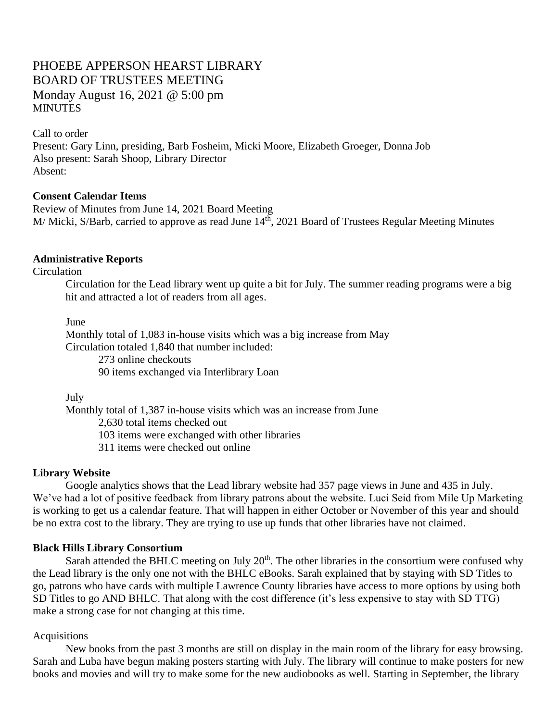# PHOEBE APPERSON HEARST LIBRARY BOARD OF TRUSTEES MEETING Monday August 16, 2021 @ 5:00 pm **MINUTES**

Call to order

Present: Gary Linn, presiding, Barb Fosheim, Micki Moore, Elizabeth Groeger, Donna Job Also present: Sarah Shoop, Library Director Absent:

### **Consent Calendar Items**

Review of Minutes from June 14, 2021 Board Meeting M/ Micki, S/Barb, carried to approve as read June 14<sup>th</sup>, 2021 Board of Trustees Regular Meeting Minutes

### **Administrative Reports**

**Circulation** 

Circulation for the Lead library went up quite a bit for July. The summer reading programs were a big hit and attracted a lot of readers from all ages.

June

Monthly total of 1,083 in-house visits which was a big increase from May Circulation totaled 1,840 that number included:

273 online checkouts

90 items exchanged via Interlibrary Loan

July

Monthly total of 1,387 in-house visits which was an increase from June 2,630 total items checked out 103 items were exchanged with other libraries 311 items were checked out online

### **Library Website**

Google analytics shows that the Lead library website had 357 page views in June and 435 in July. We've had a lot of positive feedback from library patrons about the website. Luci Seid from Mile Up Marketing is working to get us a calendar feature. That will happen in either October or November of this year and should be no extra cost to the library. They are trying to use up funds that other libraries have not claimed.

### **Black Hills Library Consortium**

Sarah attended the BHLC meeting on July  $20<sup>th</sup>$ . The other libraries in the consortium were confused why the Lead library is the only one not with the BHLC eBooks. Sarah explained that by staying with SD Titles to go, patrons who have cards with multiple Lawrence County libraries have access to more options by using both SD Titles to go AND BHLC. That along with the cost difference (it's less expensive to stay with SD TTG) make a strong case for not changing at this time.

### Acquisitions

New books from the past 3 months are still on display in the main room of the library for easy browsing. Sarah and Luba have begun making posters starting with July. The library will continue to make posters for new books and movies and will try to make some for the new audiobooks as well. Starting in September, the library